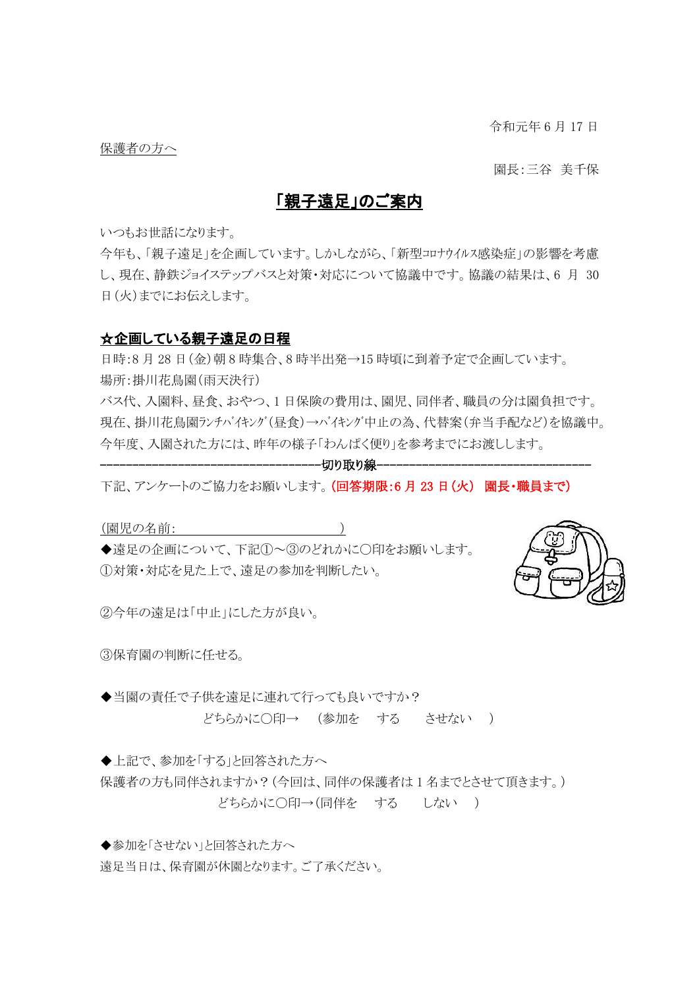令和元年 6 月 17 日

保護者の方へ

園長:三谷 美千保

# 「親子遠足」のご案内

いつもお世話になります。

今年も、「親子遠足」を企画しています。しかしながら、「新型コロナウイルス感染症」の影響を考慮 し、現在、静鉄ジョイステップバスと対策・対応について協議中です。協議の結果は、6 月 30 日(火)までにお伝えします。

## ☆企画している親子遠足の日程

日時:8月28日(金)朝8時集合、8時半出発→15時頃に到着予定で企画しています。 場所:掛川花鳥園(雨天決行)

バス代、入園料、昼食、おやつ、1 日保険の費用は、園児、同伴者、職員の分は園負担です。 現在、掛川花鳥園ランチバイキング(昼食)→バイキング中止の為、代替案(弁当手配など)を協議中。 今年度、入園された方には、昨年の様子「わんぱく便り」を参考までにお渡しします。

#### --------------------切り取り線-----

下記、アンケートのご協力をお願いします。(回答期限:6月23日(火) 園長・職員まで)

(園児の名前: )

◆遠足の企画について、下記①~③のどれかに〇印をお願いします。 ①対策・対応を見た上で、遠足の参加を判断したい。



②今年の遠足は「中止」にした方が良い。

③保育園の判断に任せる。

◆当園の責任で子供を遠足に連れて行っても良いですか? どちらかに〇印→ (参加を する させない )

◆上記で、参加を「する」と回答された方へ

保護者の方も同伴されますか?(今回は、同伴の保護者は 1 名までとさせて頂きます。) どちらかに〇印→(同伴を する しない )

◆参加を「させない」と回答された方へ

遠足当日は、保育園が休園となります。ご了承ください。